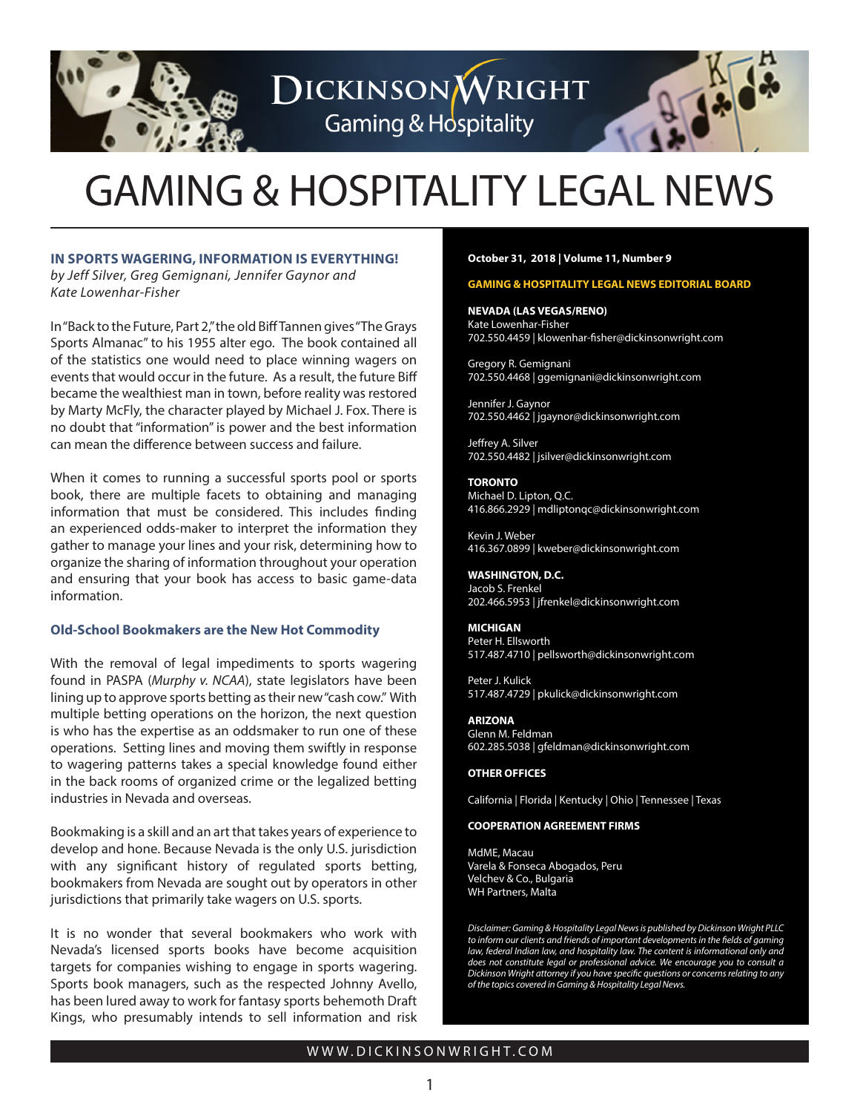

DICKINSONWRIGHT **Gaming & Hospitality** 

# GAMING & HOSPITALITY LEGAL NEWS

### **IN SPORTS WAGERING, INFORMATION IS EVERYTHING!**

*by Jeff Silver, Greg Gemignani, Jennifer Gaynor and Kate Lowenhar-Fisher*

In "Back to the Future, Part 2," the old Biff Tannen gives "The Grays Sports Almanac" to his 1955 alter ego. The book contained all of the statistics one would need to place winning wagers on events that would occur in the future. As a result, the future Biff became the wealthiest man in town, before reality was restored by Marty McFly, the character played by Michael J. Fox. There is no doubt that "information" is power and the best information can mean the difference between success and failure.

When it comes to running a successful sports pool or sports book, there are multiple facets to obtaining and managing information that must be considered. This includes finding an experienced odds-maker to interpret the information they gather to manage your lines and your risk, determining how to organize the sharing of information throughout your operation and ensuring that your book has access to basic game-data information.

## **Old-School Bookmakers are the New Hot Commodity**

With the removal of legal impediments to sports wagering found in PASPA (*Murphy v. NCAA*), state legislators have been lining up to approve sports betting as their new "cash cow." With multiple betting operations on the horizon, the next question is who has the expertise as an oddsmaker to run one of these operations. Setting lines and moving them swiftly in response to wagering patterns takes a special knowledge found either in the back rooms of organized crime or the legalized betting industries in Nevada and overseas.

Bookmaking is a skill and an art that takes years of experience to develop and hone. Because Nevada is the only U.S. jurisdiction with any significant history of regulated sports betting, bookmakers from Nevada are sought out by operators in other jurisdictions that primarily take wagers on U.S. sports.

It is no wonder that several bookmakers who work with Nevada's licensed sports books have become acquisition targets for companies wishing to engage in sports wagering. Sports book managers, such as the respected Johnny Avello, has been lured away to work for fantasy sports behemoth Draft Kings, who presumably intends to sell information and risk

#### **October 31, 2018 | Volume 11, Number 9**

### **GAMING & HOSPITALITY LEGAL NEWS EDITORIAL BOARD**

**NEVADA (LAS VEGAS/RENO)** Kate Lowenhar-Fisher 702.550.4459 | klowenhar-fisher@dickinsonwright.com

Gregory R. Gemignani 702.550.4468 | ggemignani@dickinsonwright.com

Jennifer J. Gaynor 702.550.4462 | jgaynor@dickinsonwright.com

Jeffrey A. Silver 702.550.4482 | jsilver@dickinsonwright.com

**TORONTO** Michael D. Lipton, Q.C. 416.866.2929 | mdliptonqc@dickinsonwright.com

Kevin J. Weber 416.367.0899 | kweber@dickinsonwright.com

#### **WASHINGTON, D.C.**

Jacob S. Frenkel 202.466.5953 | jfrenkel@dickinsonwright.com

#### **MICHIGAN**

Peter H. Ellsworth 517.487.4710 | pellsworth@dickinsonwright.com

Peter J. Kulick 517.487.4729 | pkulick@dickinsonwright.com

### **ARIZONA**

Glenn M. Feldman 602.285.5038 | gfeldman@dickinsonwright.com

#### **OTHER OFFICES**

California | Florida | Kentucky | Ohio | Tennessee | Texas

#### **COOPERATION AGREEMENT FIRMS**

[MdME, Macau](www.mdme.com.mo) [Varela & Fonseca Abogados, Peru](www.varelafonseca.com) [Velchev & Co., Bulgaria](www.vlaw.bg) [WH Partners, Malta](www.whpartners.eu)

*Disclaimer: Gaming & Hospitality Legal News is published by Dickinson Wright PLLC to inform our clients and friends of important developments in the fields of gaming*  law, federal Indian law, and hospitality law. The content is informational only and *does not constitute legal or professional advice. We encourage you to consult a Dickinson Wright attorney if you have specific questions or concerns relating to any of the topics covered in Gaming & Hospitality Legal News.*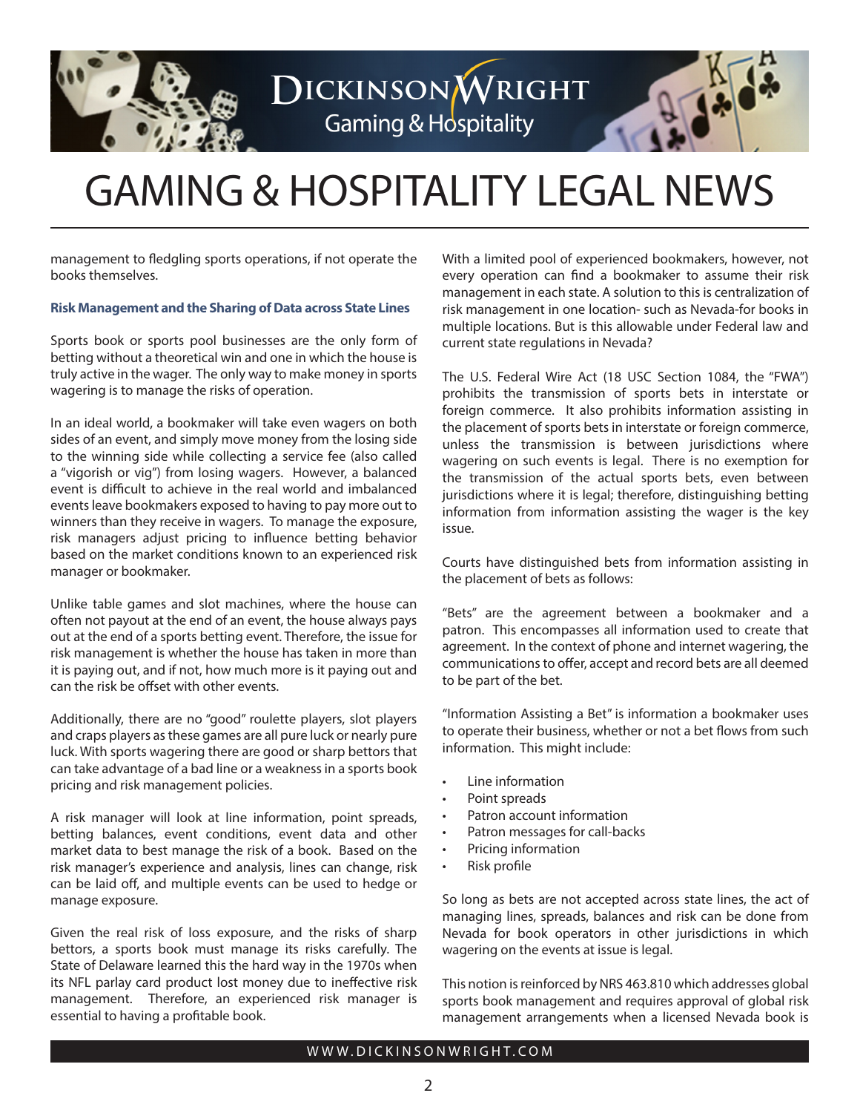

# GAMING & HOSPITALITY LEGAL NEWS

DICKINSONWRIGHT

**Gaming & Hospitality** 

management to fledgling sports operations, if not operate the books themselves.

### **Risk Management and the Sharing of Data across State Lines**

Sports book or sports pool businesses are the only form of betting without a theoretical win and one in which the house is truly active in the wager. The only way to make money in sports wagering is to manage the risks of operation.

In an ideal world, a bookmaker will take even wagers on both sides of an event, and simply move money from the losing side to the winning side while collecting a service fee (also called a "vigorish or vig") from losing wagers. However, a balanced event is difficult to achieve in the real world and imbalanced events leave bookmakers exposed to having to pay more out to winners than they receive in wagers. To manage the exposure, risk managers adjust pricing to influence betting behavior based on the market conditions known to an experienced risk manager or bookmaker.

Unlike table games and slot machines, where the house can often not payout at the end of an event, the house always pays out at the end of a sports betting event. Therefore, the issue for risk management is whether the house has taken in more than it is paying out, and if not, how much more is it paying out and can the risk be offset with other events.

Additionally, there are no "good" roulette players, slot players and craps players as these games are all pure luck or nearly pure luck. With sports wagering there are good or sharp bettors that can take advantage of a bad line or a weakness in a sports book pricing and risk management policies.

A risk manager will look at line information, point spreads, betting balances, event conditions, event data and other market data to best manage the risk of a book. Based on the risk manager's experience and analysis, lines can change, risk can be laid off, and multiple events can be used to hedge or manage exposure.

Given the real risk of loss exposure, and the risks of sharp bettors, a sports book must manage its risks carefully. The State of Delaware learned this the hard way in the 1970s when its NFL parlay card product lost money due to ineffective risk management. Therefore, an experienced risk manager is essential to having a profitable book.

With a limited pool of experienced bookmakers, however, not every operation can find a bookmaker to assume their risk management in each state. A solution to this is centralization of risk management in one location- such as Nevada-for books in multiple locations. But is this allowable under Federal law and current state regulations in Nevada?

The U.S. Federal Wire Act (18 USC Section 1084, the "FWA") prohibits the transmission of sports bets in interstate or foreign commerce. It also prohibits information assisting in the placement of sports bets in interstate or foreign commerce, unless the transmission is between jurisdictions where wagering on such events is legal. There is no exemption for the transmission of the actual sports bets, even between jurisdictions where it is legal; therefore, distinguishing betting information from information assisting the wager is the key issue.

Courts have distinguished bets from information assisting in the placement of bets as follows:

"Bets" are the agreement between a bookmaker and a patron. This encompasses all information used to create that agreement. In the context of phone and internet wagering, the communications to offer, accept and record bets are all deemed to be part of the bet.

"Information Assisting a Bet" is information a bookmaker uses to operate their business, whether or not a bet flows from such information. This might include:

- Line information
- Point spreads
- Patron account information
- Patron messages for call-backs
- Pricing information
- Risk profile

So long as bets are not accepted across state lines, the act of managing lines, spreads, balances and risk can be done from Nevada for book operators in other jurisdictions in which wagering on the events at issue is legal.

This notion is reinforced by NRS 463.810 which addresses global sports book management and requires approval of global risk management arrangements when a licensed Nevada book is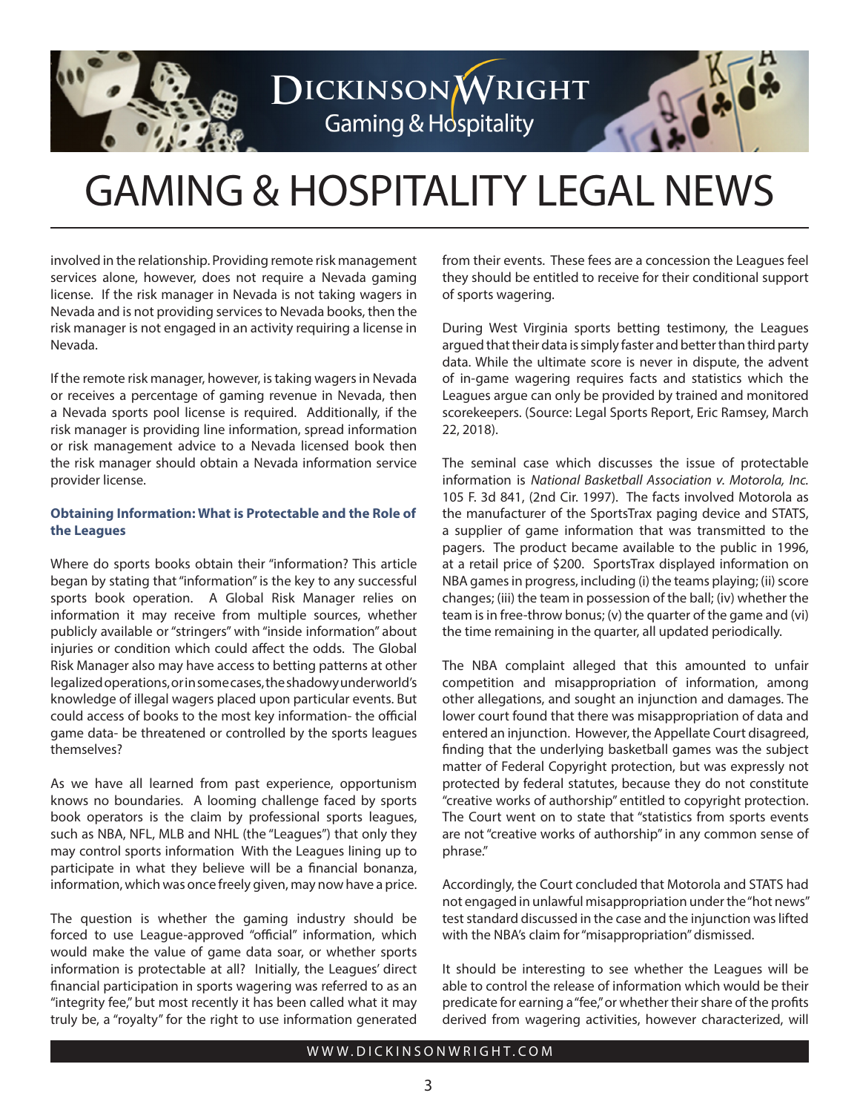

# DICKINSONWRIGHT **Gaming & Hospitality**

# GAMING & HOSPITALITY LEGAL NEWS

involved in the relationship. Providing remote risk management services alone, however, does not require a Nevada gaming license. If the risk manager in Nevada is not taking wagers in Nevada and is not providing services to Nevada books, then the risk manager is not engaged in an activity requiring a license in Nevada.

If the remote risk manager, however, is taking wagers in Nevada or receives a percentage of gaming revenue in Nevada, then a Nevada sports pool license is required. Additionally, if the risk manager is providing line information, spread information or risk management advice to a Nevada licensed book then the risk manager should obtain a Nevada information service provider license.

# **Obtaining Information: What is Protectable and the Role of the Leagues**

Where do sports books obtain their "information? This article began by stating that "information" is the key to any successful sports book operation. A Global Risk Manager relies on information it may receive from multiple sources, whether publicly available or "stringers" with "inside information" about injuries or condition which could affect the odds. The Global Risk Manager also may have access to betting patterns at other legalized operations, or in some cases, the shadowy underworld's knowledge of illegal wagers placed upon particular events. But could access of books to the most key information- the official game data- be threatened or controlled by the sports leagues themselves?

As we have all learned from past experience, opportunism knows no boundaries. A looming challenge faced by sports book operators is the claim by professional sports leagues, such as NBA, NFL, MLB and NHL (the "Leagues") that only they may control sports information With the Leagues lining up to participate in what they believe will be a financial bonanza, information, which was once freely given, may now have a price.

The question is whether the gaming industry should be forced to use League-approved "official" information, which would make the value of game data soar, or whether sports information is protectable at all? Initially, the Leagues' direct financial participation in sports wagering was referred to as an "integrity fee," but most recently it has been called what it may truly be, a "royalty" for the right to use information generated

from their events. These fees are a concession the Leagues feel they should be entitled to receive for their conditional support of sports wagering.

During West Virginia sports betting testimony, the Leagues argued that their data is simply faster and better than third party data. While the ultimate score is never in dispute, the advent of in-game wagering requires facts and statistics which the Leagues argue can only be provided by trained and monitored scorekeepers. (Source: Legal Sports Report, Eric Ramsey, March 22, 2018).

The seminal case which discusses the issue of protectable information is *National Basketball Association v. Motorola, Inc.*  105 F. 3d 841, (2nd Cir. 1997). The facts involved Motorola as the manufacturer of the SportsTrax paging device and STATS, a supplier of game information that was transmitted to the pagers. The product became available to the public in 1996, at a retail price of \$200. SportsTrax displayed information on NBA games in progress, including (i) the teams playing; (ii) score changes; (iii) the team in possession of the ball; (iv) whether the team is in free-throw bonus; (v) the quarter of the game and (vi) the time remaining in the quarter, all updated periodically.

The NBA complaint alleged that this amounted to unfair competition and misappropriation of information, among other allegations, and sought an injunction and damages. The lower court found that there was misappropriation of data and entered an injunction. However, the Appellate Court disagreed, finding that the underlying basketball games was the subject matter of Federal Copyright protection, but was expressly not protected by federal statutes, because they do not constitute "creative works of authorship" entitled to copyright protection. The Court went on to state that "statistics from sports events are not "creative works of authorship" in any common sense of phrase."

Accordingly, the Court concluded that Motorola and STATS had not engaged in unlawful misappropriation under the "hot news" test standard discussed in the case and the injunction was lifted with the NBA's claim for "misappropriation" dismissed.

It should be interesting to see whether the Leagues will be able to control the release of information which would be their predicate for earning a "fee," or whether their share of the profits derived from wagering activities, however characterized, will